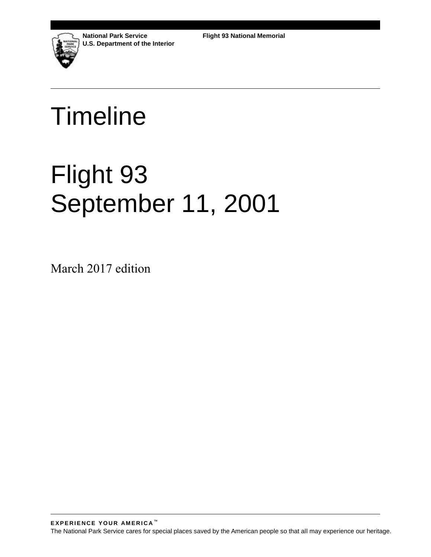

**National Park Service U.S. Department of the Interior**

# Timeline

# Flight 93 September 11, 2001

March 2017 edition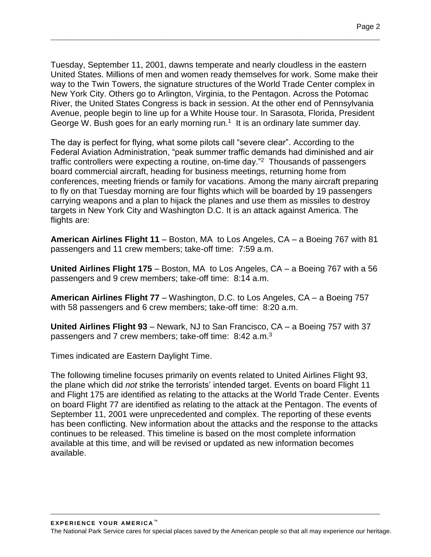Tuesday, September 11, 2001, dawns temperate and nearly cloudless in the eastern United States. Millions of men and women ready themselves for work. Some make their way to the Twin Towers, the signature structures of the World Trade Center complex in New York City. Others go to Arlington, Virginia, to the Pentagon. Across the Potomac River, the United States Congress is back in session. At the other end of Pennsylvania Avenue, people begin to line up for a White House tour. In Sarasota, Florida, President George W. Bush goes for an early morning run. $1$  It is an ordinary late summer day.

 $\mathcal{L}_\mathcal{L} = \{ \mathcal{L}_\mathcal{L} = \{ \mathcal{L}_\mathcal{L} = \{ \mathcal{L}_\mathcal{L} = \{ \mathcal{L}_\mathcal{L} = \{ \mathcal{L}_\mathcal{L} = \{ \mathcal{L}_\mathcal{L} = \{ \mathcal{L}_\mathcal{L} = \{ \mathcal{L}_\mathcal{L} = \{ \mathcal{L}_\mathcal{L} = \{ \mathcal{L}_\mathcal{L} = \{ \mathcal{L}_\mathcal{L} = \{ \mathcal{L}_\mathcal{L} = \{ \mathcal{L}_\mathcal{L} = \{ \mathcal{L}_\mathcal{$ 

The day is perfect for flying, what some pilots call "severe clear". According to the Federal Aviation Administration, "peak summer traffic demands had diminished and air traffic controllers were expecting a routine, on-time day."<sup>2</sup> Thousands of passengers board commercial aircraft, heading for business meetings, returning home from conferences, meeting friends or family for vacations. Among the many aircraft preparing to fly on that Tuesday morning are four flights which will be boarded by 19 passengers carrying weapons and a plan to hijack the planes and use them as missiles to destroy targets in New York City and Washington D.C. It is an attack against America. The flights are:

**American Airlines Flight 11** – Boston, MA to Los Angeles, CA – a Boeing 767 with 81 passengers and 11 crew members; take-off time: 7:59 a.m.

**United Airlines Flight 175** – Boston, MA to Los Angeles, CA – a Boeing 767 with a 56 passengers and 9 crew members; take-off time: 8:14 a.m.

**American Airlines Flight 77** – Washington, D.C. to Los Angeles, CA – a Boeing 757 with 58 passengers and 6 crew members; take-off time: 8:20 a.m.

**United Airlines Flight 93** – Newark, NJ to San Francisco, CA – a Boeing 757 with 37 passengers and 7 crew members; take-off time: 8:42 a.m.<sup>3</sup>

Times indicated are Eastern Daylight Time.

The following timeline focuses primarily on events related to United Airlines Flight 93, the plane which did *not* strike the terrorists' intended target. Events on board Flight 11 and Flight 175 are identified as relating to the attacks at the World Trade Center. Events on board Flight 77 are identified as relating to the attack at the Pentagon. The events of September 11, 2001 were unprecedented and complex. The reporting of these events has been conflicting. New information about the attacks and the response to the attacks continues to be released. This timeline is based on the most complete information available at this time, and will be revised or updated as new information becomes available.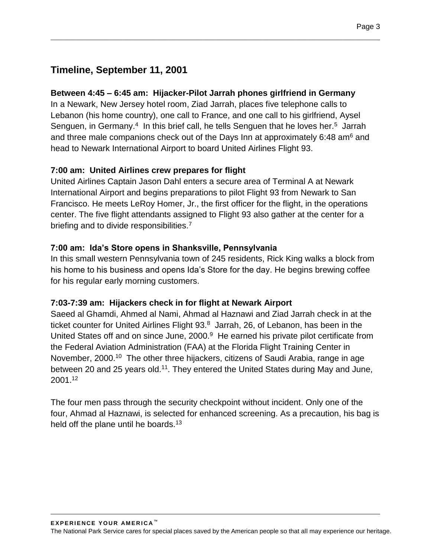# **Timeline, September 11, 2001**

#### **Between 4:45 – 6:45 am: Hijacker-Pilot Jarrah phones girlfriend in Germany**

In a Newark, New Jersey hotel room, Ziad Jarrah, places five telephone calls to Lebanon (his home country), one call to France, and one call to his girlfriend, Aysel Senguen, in Germany.<sup>4</sup> In this brief call, he tells Senguen that he loves her.<sup>5</sup> Jarrah and three male companions check out of the Days Inn at approximately 6:48 am<sup>6</sup> and head to Newark International Airport to board United Airlines Flight 93.

 $\mathcal{L}_\mathcal{L} = \{ \mathcal{L}_\mathcal{L} = \{ \mathcal{L}_\mathcal{L} = \{ \mathcal{L}_\mathcal{L} = \{ \mathcal{L}_\mathcal{L} = \{ \mathcal{L}_\mathcal{L} = \{ \mathcal{L}_\mathcal{L} = \{ \mathcal{L}_\mathcal{L} = \{ \mathcal{L}_\mathcal{L} = \{ \mathcal{L}_\mathcal{L} = \{ \mathcal{L}_\mathcal{L} = \{ \mathcal{L}_\mathcal{L} = \{ \mathcal{L}_\mathcal{L} = \{ \mathcal{L}_\mathcal{L} = \{ \mathcal{L}_\mathcal{$ 

#### **7:00 am: United Airlines crew prepares for flight**

United Airlines Captain Jason Dahl enters a secure area of Terminal A at Newark International Airport and begins preparations to pilot Flight 93 from Newark to San Francisco. He meets LeRoy Homer, Jr., the first officer for the flight, in the operations center. The five flight attendants assigned to Flight 93 also gather at the center for a briefing and to divide responsibilities.<sup>7</sup>

#### **7:00 am: Ida's Store opens in Shanksville, Pennsylvania**

In this small western Pennsylvania town of 245 residents, Rick King walks a block from his home to his business and opens Ida's Store for the day. He begins brewing coffee for his regular early morning customers.

#### **7:03-7:39 am: Hijackers check in for flight at Newark Airport**

Saeed al Ghamdi, Ahmed al Nami, Ahmad al Haznawi and Ziad Jarrah check in at the ticket counter for United Airlines Flight 93.<sup>8</sup> Jarrah, 26, of Lebanon, has been in the United States off and on since June, 2000.<sup>9</sup> He earned his private pilot certificate from the Federal Aviation Administration (FAA) at the Florida Flight Training Center in November, 2000.<sup>10</sup> The other three hijackers, citizens of Saudi Arabia, range in age between 20 and 25 years old.<sup>11</sup>. They entered the United States during May and June, 2001.<sup>12</sup>

The four men pass through the security checkpoint without incident. Only one of the four, Ahmad al Haznawi, is selected for enhanced screening. As a precaution, his bag is held off the plane until he boards.<sup>13</sup>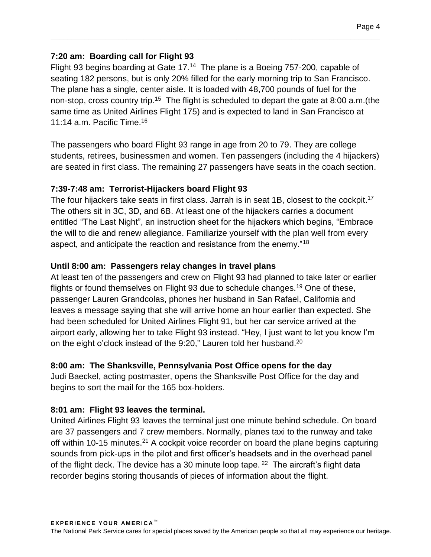#### **7:20 am: Boarding call for Flight 93**

Flight 93 begins boarding at Gate 17.<sup>14</sup> The plane is a Boeing 757-200, capable of seating 182 persons, but is only 20% filled for the early morning trip to San Francisco. The plane has a single, center aisle. It is loaded with 48,700 pounds of fuel for the non-stop, cross country trip.<sup>15</sup> The flight is scheduled to depart the gate at 8:00 a.m. (the same time as United Airlines Flight 175) and is expected to land in San Francisco at 11:14 a.m. Pacific Time.<sup>16</sup>

 $\mathcal{L}_\mathcal{L} = \{ \mathcal{L}_\mathcal{L} = \{ \mathcal{L}_\mathcal{L} = \{ \mathcal{L}_\mathcal{L} = \{ \mathcal{L}_\mathcal{L} = \{ \mathcal{L}_\mathcal{L} = \{ \mathcal{L}_\mathcal{L} = \{ \mathcal{L}_\mathcal{L} = \{ \mathcal{L}_\mathcal{L} = \{ \mathcal{L}_\mathcal{L} = \{ \mathcal{L}_\mathcal{L} = \{ \mathcal{L}_\mathcal{L} = \{ \mathcal{L}_\mathcal{L} = \{ \mathcal{L}_\mathcal{L} = \{ \mathcal{L}_\mathcal{$ 

The passengers who board Flight 93 range in age from 20 to 79. They are college students, retirees, businessmen and women. Ten passengers (including the 4 hijackers) are seated in first class. The remaining 27 passengers have seats in the coach section.

#### **7:39-7:48 am: Terrorist-Hijackers board Flight 93**

The four hijackers take seats in first class. Jarrah is in seat 1B, closest to the cockpit.<sup>17</sup> The others sit in 3C, 3D, and 6B. At least one of the hijackers carries a document entitled "The Last Night", an instruction sheet for the hijackers which begins, "Embrace the will to die and renew allegiance. Familiarize yourself with the plan well from every aspect, and anticipate the reaction and resistance from the enemy."<sup>18</sup>

#### **Until 8:00 am: Passengers relay changes in travel plans**

At least ten of the passengers and crew on Flight 93 had planned to take later or earlier flights or found themselves on Flight 93 due to schedule changes.<sup>19</sup> One of these, passenger Lauren Grandcolas, phones her husband in San Rafael, California and leaves a message saying that she will arrive home an hour earlier than expected. She had been scheduled for United Airlines Flight 91, but her car service arrived at the airport early, allowing her to take Flight 93 instead. "Hey, I just want to let you know I'm on the eight o'clock instead of the 9:20," Lauren told her husband.<sup>20</sup>

#### **8:00 am: The Shanksville, Pennsylvania Post Office opens for the day**

Judi Baeckel, acting postmaster, opens the Shanksville Post Office for the day and begins to sort the mail for the 165 box-holders.

#### **8:01 am: Flight 93 leaves the terminal.**

United Airlines Flight 93 leaves the terminal just one minute behind schedule. On board are 37 passengers and 7 crew members. Normally, planes taxi to the runway and take off within 10-15 minutes.<sup>21</sup> A cockpit voice recorder on board the plane begins capturing sounds from pick-ups in the pilot and first officer's headsets and in the overhead panel of the flight deck. The device has a 30 minute loop tape.  $22$  The aircraft's flight data recorder begins storing thousands of pieces of information about the flight.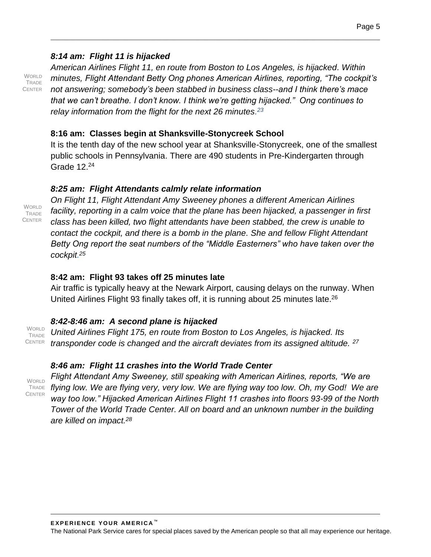#### *8:14 am: Flight 11 is hijacked*

WORLD. TRADE **CENTER**  *American Airlines Flight 11, en route from Boston to Los Angeles, is hijacked. Within minutes, Flight Attendant Betty Ong phones American Airlines, reporting, "The cockpit's not answering; somebody's been stabbed in business class--and I think there's mace that we can't breathe. I don't know. I think we're getting hijacked." Ong continues to relay information from the flight for the next 26 minutes. 23*

 $\mathcal{L}_\mathcal{L} = \{ \mathcal{L}_\mathcal{L} = \{ \mathcal{L}_\mathcal{L} = \{ \mathcal{L}_\mathcal{L} = \{ \mathcal{L}_\mathcal{L} = \{ \mathcal{L}_\mathcal{L} = \{ \mathcal{L}_\mathcal{L} = \{ \mathcal{L}_\mathcal{L} = \{ \mathcal{L}_\mathcal{L} = \{ \mathcal{L}_\mathcal{L} = \{ \mathcal{L}_\mathcal{L} = \{ \mathcal{L}_\mathcal{L} = \{ \mathcal{L}_\mathcal{L} = \{ \mathcal{L}_\mathcal{L} = \{ \mathcal{L}_\mathcal{$ 

#### **8:16 am: Classes begin at Shanksville-Stonycreek School**

It is the tenth day of the new school year at Shanksville-Stonycreek, one of the smallest public schools in Pennsylvania. There are 490 students in Pre-Kindergarten through Grade  $12.24$ 

#### *8:25 am: Flight Attendants calmly relate information*

*On Flight 11, Flight Attendant Amy Sweeney phones a different American Airlines facility, reporting in a calm voice that the plane has been hijacked, a passenger in first class has been killed, two flight attendants have been stabbed, the crew is unable to contact the cockpit, and there is a bomb in the plane. She and fellow Flight Attendant Betty Ong report the seat numbers of the "Middle Easterners" who have taken over the cockpit. 25*

#### **8:42 am: Flight 93 takes off 25 minutes late**

Air traffic is typically heavy at the Newark Airport, causing delays on the runway. When United Airlines Flight 93 finally takes off, it is running about 25 minutes late.<sup>26</sup>

#### *8:42-8:46 am: A second plane is hijacked*

*United Airlines Flight 175, en route from Boston to Los Angeles, is hijacked. Its transponder code is changed and the aircraft deviates from its assigned altitude. <sup>27</sup>* WORLD TRADE CENTER

#### *8:46 am: Flight 11 crashes into the World Trade Center*

**WORLD** TRADE **CENTER** 

*Flight Attendant Amy Sweeney, still speaking with American Airlines, reports, "We are flying low. We are flying very, very low. We are flying way too low. Oh, my God! We are way too low." Hijacked American Airlines Flight 11 crashes into floors 93-99 of the North Tower of the World Trade Center. All on board and an unknown number in the building are killed on impact.<sup>28</sup>*

WORLD TRADE CENTER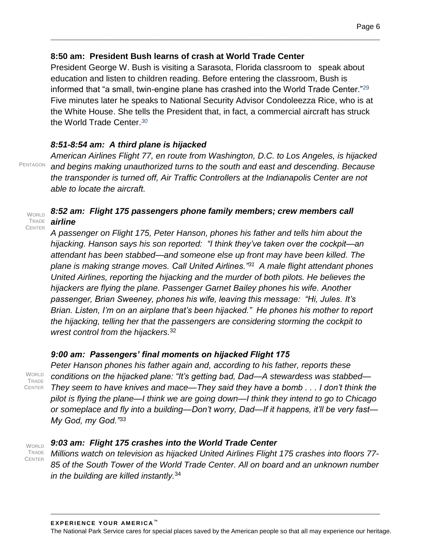#### **8:50 am: President Bush learns of crash at World Trade Center**

President George W. Bush is visiting a Sarasota, Florida classroom to speak about education and listen to children reading. Before entering the classroom, Bush is informed that "a small, twin-engine plane has crashed into the World Trade Center."<sup>29</sup> Five minutes later he speaks to National Security Advisor Condoleezza Rice, who is at the White House. She tells the President that, in fact, a commercial aircraft has struck the World Trade Center.*<sup>30</sup>*

 $\mathcal{L}_\mathcal{L} = \{ \mathcal{L}_\mathcal{L} = \{ \mathcal{L}_\mathcal{L} = \{ \mathcal{L}_\mathcal{L} = \{ \mathcal{L}_\mathcal{L} = \{ \mathcal{L}_\mathcal{L} = \{ \mathcal{L}_\mathcal{L} = \{ \mathcal{L}_\mathcal{L} = \{ \mathcal{L}_\mathcal{L} = \{ \mathcal{L}_\mathcal{L} = \{ \mathcal{L}_\mathcal{L} = \{ \mathcal{L}_\mathcal{L} = \{ \mathcal{L}_\mathcal{L} = \{ \mathcal{L}_\mathcal{L} = \{ \mathcal{L}_\mathcal{$ 

#### *8:51-8:54 am: A third plane is hijacked*

PENTAGON

*American Airlines Flight 77, en route from Washington, D.C. to Los Angeles, is hijacked and begins making unauthorized turns to the south and east and descending. Because the transponder is turned off, Air Traffic Controllers at the Indianapolis Center are not able to locate the aircraft.* 

#### *8:52 am: Flight 175 passengers phone family members; crew members call airline* WORLD TRADE **CENTER**

*A passenger on Flight 175, Peter Hanson, phones his father and tells him about the hijacking. Hanson says his son reported: "I think they've taken over the cockpit—an attendant has been stabbed—and someone else up front may have been killed. The plane is making strange moves. Call United Airlines."<sup>31</sup> A male flight attendant phones United Airlines, reporting the hijacking and the murder of both pilots. He believes the hijackers are flying the plane. Passenger Garnet Bailey phones his wife. Another passenger, Brian Sweeney, phones his wife, leaving this message: "Hi, Jules. It's Brian. Listen, I'm on an airplane that's been hijacked." He phones his mother to report the hijacking, telling her that the passengers are considering storming the cockpit to wrest control from the hijackers.*<sup>32</sup> 

#### *9:00 am: Passengers' final moments on hijacked Flight 175*

**WORLD TRADE CENTER** 

*Peter Hanson phones his father again and, according to his father, reports these conditions on the hijacked plane: "It's getting bad, Dad—A stewardess was stabbed— They seem to have knives and mace—They said they have a bomb . . . I don't think the pilot is flying the plane—I think we are going down—I think they intend to go to Chicago or someplace and fly into a building—Don't worry, Dad—If it happens, it'll be very fast— My God, my God."<sup>33</sup>*

**WORLD** TRADE **CENTER** 

#### *9:03 am: Flight 175 crashes into the World Trade Center*

*Millions watch on television as hijacked United Airlines Flight 175 crashes into floors 77- 85 of the South Tower of the World Trade Center. All on board and an unknown number in the building are killed instantly.*<sup>34</sup>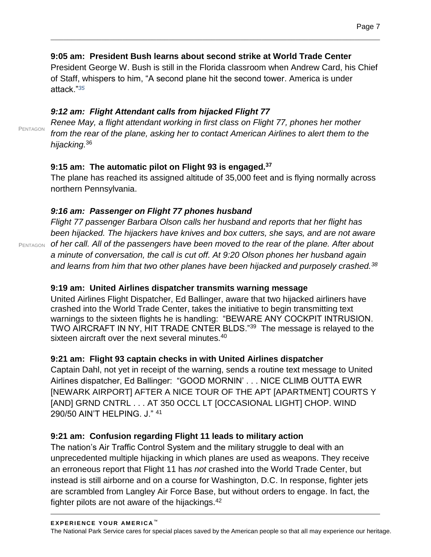#### **9:05 am: President Bush learns about second strike at World Trade Center**

President George W. Bush is still in the Florida classroom when Andrew Card, his Chief of Staff, whispers to him, "A second plane hit the second tower. America is under attack."*<sup>35</sup>*

 $\mathcal{L}_\mathcal{L} = \{ \mathcal{L}_\mathcal{L} = \{ \mathcal{L}_\mathcal{L} = \{ \mathcal{L}_\mathcal{L} = \{ \mathcal{L}_\mathcal{L} = \{ \mathcal{L}_\mathcal{L} = \{ \mathcal{L}_\mathcal{L} = \{ \mathcal{L}_\mathcal{L} = \{ \mathcal{L}_\mathcal{L} = \{ \mathcal{L}_\mathcal{L} = \{ \mathcal{L}_\mathcal{L} = \{ \mathcal{L}_\mathcal{L} = \{ \mathcal{L}_\mathcal{L} = \{ \mathcal{L}_\mathcal{L} = \{ \mathcal{L}_\mathcal{$ 

# *9:12 am: Flight Attendant calls from hijacked Flight 77*

*Renee May, a flight attendant working in first class on Flight 77, phones her mother from the rear of the plane, asking her to contact American Airlines to alert them to the hijacking.*<sup>36</sup>

## **9:15 am: The automatic pilot on Flight 93 is engaged.<sup>37</sup>**

The plane has reached its assigned altitude of 35,000 feet and is flying normally across northern Pennsylvania.

## *9:16 am: Passenger on Flight 77 phones husband*

*Flight 77 passenger Barbara Olson calls her husband and reports that her flight has been hijacked. The hijackers have knives and box cutters, she says, and are not aware*  PENTAGON of her call. All of the passengers have been moved to the rear of the plane. After about *a minute of conversation, the call is cut off. At 9:20 Olson phones her husband again and learns from him that two other planes have been hijacked and purposely crashed.<sup>38</sup>*

## **9:19 am: United Airlines dispatcher transmits warning message**

United Airlines Flight Dispatcher, Ed Ballinger, aware that two hijacked airliners have crashed into the World Trade Center, takes the initiative to begin transmitting text warnings to the sixteen flights he is handling: "BEWARE ANY COCKPIT INTRUSION. TWO AIRCRAFT IN NY, HIT TRADE CNTER BLDS."<sup>39</sup> The message is relayed to the sixteen aircraft over the next several minutes.<sup>40</sup>

## **9:21 am: Flight 93 captain checks in with United Airlines dispatcher**

Captain Dahl, not yet in receipt of the warning, sends a routine text message to United Airlines dispatcher, Ed Ballinger: "GOOD MORNIN' . . . NICE CLIMB OUTTA EWR [NEWARK AIRPORT] AFTER A NICE TOUR OF THE APT [APARTMENT] COURTS Y [AND] GRND CNTRL . . . AT 350 OCCL LT [OCCASIONAL LIGHT] CHOP. WIND 290/50 AIN'T HELPING. J." <sup>41</sup>

## **9:21 am: Confusion regarding Flight 11 leads to military action**

The nation's Air Traffic Control System and the military struggle to deal with an unprecedented multiple hijacking in which planes are used as weapons. They receive an erroneous report that Flight 11 has *not* crashed into the World Trade Center, but instead is still airborne and on a course for Washington, D.C. In response, fighter jets are scrambled from Langley Air Force Base, but without orders to engage. In fact, the fighter pilots are not aware of the hijackings. $42$ 

PENTAGON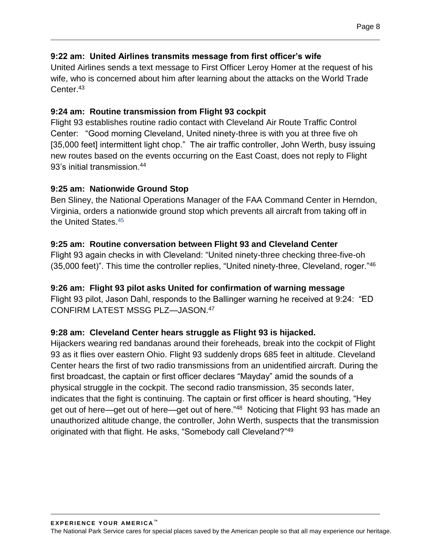#### **9:22 am: United Airlines transmits message from first officer's wife**

United Airlines sends a text message to First Officer Leroy Homer at the request of his wife, who is concerned about him after learning about the attacks on the World Trade Center.<sup>43</sup>

 $\mathcal{L}_\mathcal{L} = \{ \mathcal{L}_\mathcal{L} = \{ \mathcal{L}_\mathcal{L} = \{ \mathcal{L}_\mathcal{L} = \{ \mathcal{L}_\mathcal{L} = \{ \mathcal{L}_\mathcal{L} = \{ \mathcal{L}_\mathcal{L} = \{ \mathcal{L}_\mathcal{L} = \{ \mathcal{L}_\mathcal{L} = \{ \mathcal{L}_\mathcal{L} = \{ \mathcal{L}_\mathcal{L} = \{ \mathcal{L}_\mathcal{L} = \{ \mathcal{L}_\mathcal{L} = \{ \mathcal{L}_\mathcal{L} = \{ \mathcal{L}_\mathcal{$ 

#### **9:24 am: Routine transmission from Flight 93 cockpit**

Flight 93 establishes routine radio contact with Cleveland Air Route Traffic Control Center: "Good morning Cleveland, United ninety-three is with you at three five oh [35,000 feet] intermittent light chop." The air traffic controller, John Werth, busy issuing new routes based on the events occurring on the East Coast, does not reply to Flight 93's initial transmission.<sup>44</sup>

#### **9:25 am: Nationwide Ground Stop**

Ben Sliney, the National Operations Manager of the FAA Command Center in Herndon, Virginia, orders a nationwide ground stop which prevents all aircraft from taking off in the United States.<sup>45</sup>

#### **9:25 am: Routine conversation between Flight 93 and Cleveland Center**

Flight 93 again checks in with Cleveland: "United ninety-three checking three-five-oh (35,000 feet)". This time the controller replies, "United ninety-three, Cleveland, roger."46

#### **9:26 am: Flight 93 pilot asks United for confirmation of warning message**

Flight 93 pilot, Jason Dahl, responds to the Ballinger warning he received at 9:24: "ED CONFIRM LATEST MSSG PLZ—JASON.<sup>47</sup>

#### **9:28 am: Cleveland Center hears struggle as Flight 93 is hijacked.**

Hijackers wearing red bandanas around their foreheads, break into the cockpit of Flight 93 as it flies over eastern Ohio. Flight 93 suddenly drops 685 feet in altitude. Cleveland Center hears the first of two radio transmissions from an unidentified aircraft. During the first broadcast, the captain or first officer declares "Mayday" amid the sounds of a physical struggle in the cockpit. The second radio transmission, 35 seconds later, indicates that the fight is continuing. The captain or first officer is heard shouting, "Hey get out of here—get out of here—get out of here."<sup>48</sup> Noticing that Flight 93 has made an unauthorized altitude change, the controller, John Werth, suspects that the transmission originated with that flight. He asks, "Somebody call Cleveland?"49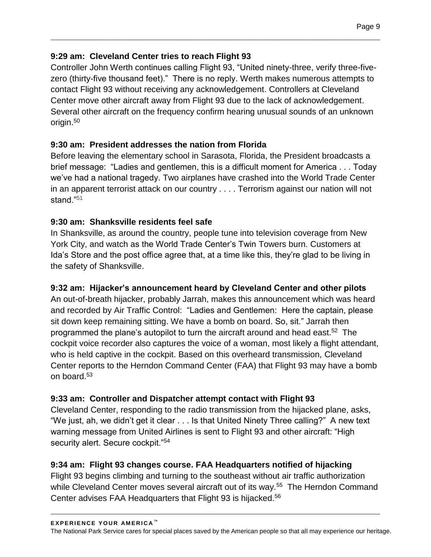#### **9:29 am: Cleveland Center tries to reach Flight 93**

Controller John Werth continues calling Flight 93, "United ninety-three, verify three-fivezero (thirty-five thousand feet)." There is no reply. Werth makes numerous attempts to contact Flight 93 without receiving any acknowledgement. Controllers at Cleveland Center move other aircraft away from Flight 93 due to the lack of acknowledgement. Several other aircraft on the frequency confirm hearing unusual sounds of an unknown origin.<sup>50</sup>

 $\mathcal{L}_\mathcal{L} = \{ \mathcal{L}_\mathcal{L} = \{ \mathcal{L}_\mathcal{L} = \{ \mathcal{L}_\mathcal{L} = \{ \mathcal{L}_\mathcal{L} = \{ \mathcal{L}_\mathcal{L} = \{ \mathcal{L}_\mathcal{L} = \{ \mathcal{L}_\mathcal{L} = \{ \mathcal{L}_\mathcal{L} = \{ \mathcal{L}_\mathcal{L} = \{ \mathcal{L}_\mathcal{L} = \{ \mathcal{L}_\mathcal{L} = \{ \mathcal{L}_\mathcal{L} = \{ \mathcal{L}_\mathcal{L} = \{ \mathcal{L}_\mathcal{$ 

## **9:30 am: President addresses the nation from Florida**

Before leaving the elementary school in Sarasota, Florida, the President broadcasts a brief message: "Ladies and gentlemen, this is a difficult moment for America . . . Today we've had a national tragedy. Two airplanes have crashed into the World Trade Center in an apparent terrorist attack on our country . . . . Terrorism against our nation will not stand."<sup>51</sup>

#### **9:30 am: Shanksville residents feel safe**

In Shanksville, as around the country, people tune into television coverage from New York City, and watch as the World Trade Center's Twin Towers burn. Customers at Ida's Store and the post office agree that, at a time like this, they're glad to be living in the safety of Shanksville.

## **9:32 am: Hijacker's announcement heard by Cleveland Center and other pilots**

An out-of-breath hijacker, probably Jarrah, makes this announcement which was heard and recorded by Air Traffic Control: "Ladies and Gentlemen: Here the captain, please sit down keep remaining sitting. We have a bomb on board. So, sit." Jarrah then programmed the plane's autopilot to turn the aircraft around and head east.<sup>52</sup> The cockpit voice recorder also captures the voice of a woman, most likely a flight attendant, who is held captive in the cockpit. Based on this overheard transmission, Cleveland Center reports to the Herndon Command Center (FAA) that Flight 93 may have a bomb on board.<sup>53</sup>

## **9:33 am: Controller and Dispatcher attempt contact with Flight 93**

Cleveland Center, responding to the radio transmission from the hijacked plane, asks, "We just, ah, we didn't get it clear . . . Is that United Ninety Three calling?" A new text warning message from United Airlines is sent to Flight 93 and other aircraft: "High security alert. Secure cockpit."<sup>54</sup>

#### **9:34 am: Flight 93 changes course. FAA Headquarters notified of hijacking**

Flight 93 begins climbing and turning to the southeast without air traffic authorization while Cleveland Center moves several aircraft out of its way.<sup>55</sup> The Herndon Command Center advises FAA Headquarters that Flight 93 is hijacked.56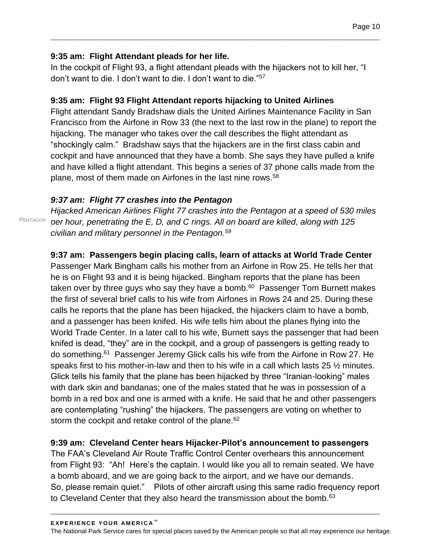#### **9:35 am: Flight Attendant pleads for her life.**

In the cockpit of Flight 93, a flight attendant pleads with the hijackers not to kill her, "I don't want to die. I don't want to die. I don't want to die."<sup>57</sup>

 $\mathcal{L}_\mathcal{L} = \{ \mathcal{L}_\mathcal{L} = \{ \mathcal{L}_\mathcal{L} = \{ \mathcal{L}_\mathcal{L} = \{ \mathcal{L}_\mathcal{L} = \{ \mathcal{L}_\mathcal{L} = \{ \mathcal{L}_\mathcal{L} = \{ \mathcal{L}_\mathcal{L} = \{ \mathcal{L}_\mathcal{L} = \{ \mathcal{L}_\mathcal{L} = \{ \mathcal{L}_\mathcal{L} = \{ \mathcal{L}_\mathcal{L} = \{ \mathcal{L}_\mathcal{L} = \{ \mathcal{L}_\mathcal{L} = \{ \mathcal{L}_\mathcal{$ 

#### **9:35 am: Flight 93 Flight Attendant reports hijacking to United Airlines**

Flight attendant Sandy Bradshaw dials the United Airlines Maintenance Facility in San Francisco from the Airfone in Row 33 (the next to the last row in the plane) to report the hijacking. The manager who takes over the call describes the flight attendant as "shockingly calm." Bradshaw says that the hijackers are in the first class cabin and cockpit and have announced that they have a bomb. She says they have pulled a knife and have killed a flight attendant. This begins a series of 37 phone calls made from the plane, most of them made on Airfones in the last nine rows.<sup>58</sup>

#### *9:37 am: Flight 77 crashes into the Pentagon*

*Hijacked American Airlines Flight 77 crashes into the Pentagon at a speed of 530 miles per hour, penetrating the E, D, and C rings. All on board are killed, along with 125 civilian and military personnel in the Pentagon.<sup>59</sup>*

## **9:37 am: Passengers begin placing calls, learn of attacks at World Trade Center**

Passenger Mark Bingham calls his mother from an Airfone in Row 25. He tells her that he is on Flight 93 and it is being hijacked. Bingham reports that the plane has been taken over by three guys who say they have a bomb.<sup>60</sup> Passenger Tom Burnett makes the first of several brief calls to his wife from Airfones in Rows 24 and 25. During these calls he reports that the plane has been hijacked, the hijackers claim to have a bomb, and a passenger has been knifed. His wife tells him about the planes flying into the World Trade Center. In a later call to his wife, Burnett says the passenger that had been knifed is dead, "they" are in the cockpit, and a group of passengers is getting ready to do something.<sup>61</sup> Passenger Jeremy Glick calls his wife from the Airfone in Row 27. He speaks first to his mother-in-law and then to his wife in a call which lasts 25 ½ minutes. Glick tells his family that the plane has been hijacked by three "Iranian-looking" males with dark skin and bandanas; one of the males stated that he was in possession of a bomb in a red box and one is armed with a knife. He said that he and other passengers are contemplating "rushing" the hijackers. The passengers are voting on whether to storm the cockpit and retake control of the plane. $62$ 

#### **9:39 am: Cleveland Center hears Hijacker-Pilot's announcement to passengers**

The FAA's Cleveland Air Route Traffic Control Center overhears this announcement from Flight 93: "Ah! Here's the captain. I would like you all to remain seated. We have a bomb aboard, and we are going back to the airport, and we have our demands. So, please remain quiet." Pilots of other aircraft using this same radio frequency report to Cleveland Center that they also heard the transmission about the bomb. $63$ 

PENTAGON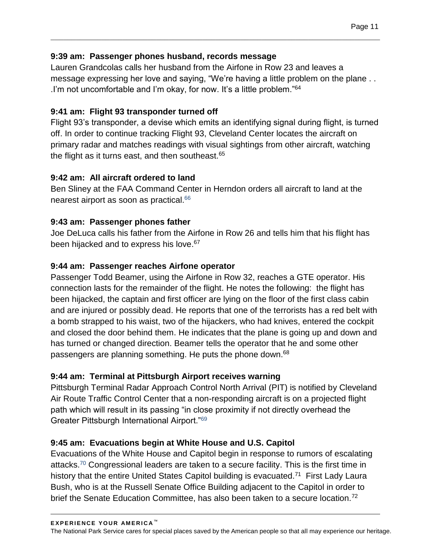#### **9:39 am: Passenger phones husband, records message**

Lauren Grandcolas calls her husband from the Airfone in Row 23 and leaves a message expressing her love and saying, "We're having a little problem on the plane . . .I'm not uncomfortable and I'm okay, for now. It's a little problem."<sup>64</sup>

 $\mathcal{L}_\mathcal{L} = \{ \mathcal{L}_\mathcal{L} = \{ \mathcal{L}_\mathcal{L} = \{ \mathcal{L}_\mathcal{L} = \{ \mathcal{L}_\mathcal{L} = \{ \mathcal{L}_\mathcal{L} = \{ \mathcal{L}_\mathcal{L} = \{ \mathcal{L}_\mathcal{L} = \{ \mathcal{L}_\mathcal{L} = \{ \mathcal{L}_\mathcal{L} = \{ \mathcal{L}_\mathcal{L} = \{ \mathcal{L}_\mathcal{L} = \{ \mathcal{L}_\mathcal{L} = \{ \mathcal{L}_\mathcal{L} = \{ \mathcal{L}_\mathcal{$ 

#### **9:41 am: Flight 93 transponder turned off**

Flight 93's transponder, a devise which emits an identifying signal during flight, is turned off. In order to continue tracking Flight 93, Cleveland Center locates the aircraft on primary radar and matches readings with visual sightings from other aircraft, watching the flight as it turns east, and then southeast.<sup>65</sup>

#### **9:42 am: All aircraft ordered to land**

Ben Sliney at the FAA Command Center in Herndon orders all aircraft to land at the nearest airport as soon as practical.<sup>66</sup>

#### **9:43 am: Passenger phones father**

Joe DeLuca calls his father from the Airfone in Row 26 and tells him that his flight has been hijacked and to express his love.<sup>67</sup>

#### **9:44 am: Passenger reaches Airfone operator**

Passenger Todd Beamer, using the Airfone in Row 32, reaches a GTE operator. His connection lasts for the remainder of the flight. He notes the following: the flight has been hijacked, the captain and first officer are lying on the floor of the first class cabin and are injured or possibly dead. He reports that one of the terrorists has a red belt with a bomb strapped to his waist, two of the hijackers, who had knives, entered the cockpit and closed the door behind them. He indicates that the plane is going up and down and has turned or changed direction. Beamer tells the operator that he and some other passengers are planning something. He puts the phone down.<sup>68</sup>

#### **9:44 am: Terminal at Pittsburgh Airport receives warning**

Pittsburgh Terminal Radar Approach Control North Arrival (PIT) is notified by Cleveland Air Route Traffic Control Center that a non-responding aircraft is on a projected flight path which will result in its passing "in close proximity if not directly overhead the Greater Pittsburgh International Airport."<sup>69</sup>

#### **9:45 am: Evacuations begin at White House and U.S. Capitol**

Evacuations of the White House and Capitol begin in response to rumors of escalating attacks.<sup>70</sup> Congressional leaders are taken to a secure facility. This is the first time in history that the entire United States Capitol building is evacuated.<sup>71</sup> First Lady Laura Bush, who is at the Russell Senate Office Building adjacent to the Capitol in order to brief the Senate Education Committee, has also been taken to a secure location.<sup>72</sup>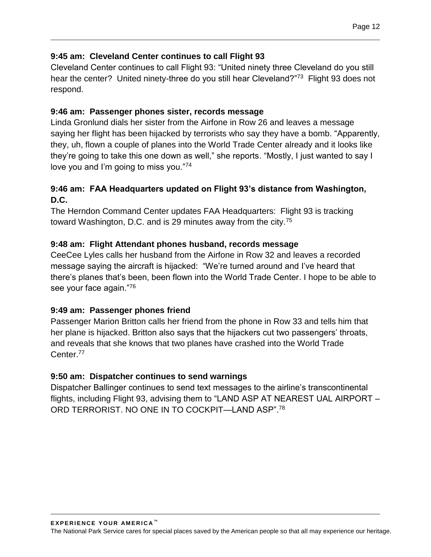#### **9:45 am: Cleveland Center continues to call Flight 93**

Cleveland Center continues to call Flight 93: "United ninety three Cleveland do you still hear the center? United ninety-three do you still hear Cleveland?"<sup>73</sup> Flight 93 does not respond.

 $\mathcal{L}_\mathcal{L} = \{ \mathcal{L}_\mathcal{L} = \{ \mathcal{L}_\mathcal{L} = \{ \mathcal{L}_\mathcal{L} = \{ \mathcal{L}_\mathcal{L} = \{ \mathcal{L}_\mathcal{L} = \{ \mathcal{L}_\mathcal{L} = \{ \mathcal{L}_\mathcal{L} = \{ \mathcal{L}_\mathcal{L} = \{ \mathcal{L}_\mathcal{L} = \{ \mathcal{L}_\mathcal{L} = \{ \mathcal{L}_\mathcal{L} = \{ \mathcal{L}_\mathcal{L} = \{ \mathcal{L}_\mathcal{L} = \{ \mathcal{L}_\mathcal{$ 

#### **9:46 am: Passenger phones sister, records message**

Linda Gronlund dials her sister from the Airfone in Row 26 and leaves a message saying her flight has been hijacked by terrorists who say they have a bomb. "Apparently, they, uh, flown a couple of planes into the World Trade Center already and it looks like they're going to take this one down as well," she reports. "Mostly, I just wanted to say I love you and I'm going to miss you."<sup>74</sup>

#### **9:46 am: FAA Headquarters updated on Flight 93's distance from Washington, D.C.**

The Herndon Command Center updates FAA Headquarters: Flight 93 is tracking toward Washington, D.C. and is 29 minutes away from the city.<sup>75</sup>

#### **9:48 am: Flight Attendant phones husband, records message**

CeeCee Lyles calls her husband from the Airfone in Row 32 and leaves a recorded message saying the aircraft is hijacked: "We're turned around and I've heard that there's planes that's been, been flown into the World Trade Center. I hope to be able to see your face again."<sup>76</sup>

#### **9:49 am: Passenger phones friend**

Passenger Marion Britton calls her friend from the phone in Row 33 and tells him that her plane is hijacked. Britton also says that the hijackers cut two passengers' throats, and reveals that she knows that two planes have crashed into the World Trade Center.<sup>77</sup>

#### **9:50 am: Dispatcher continues to send warnings**

Dispatcher Ballinger continues to send text messages to the airline's transcontinental flights, including Flight 93, advising them to "LAND ASP AT NEAREST UAL AIRPORT – ORD TERRORIST. NO ONE IN TO COCKPIT—LAND ASP".78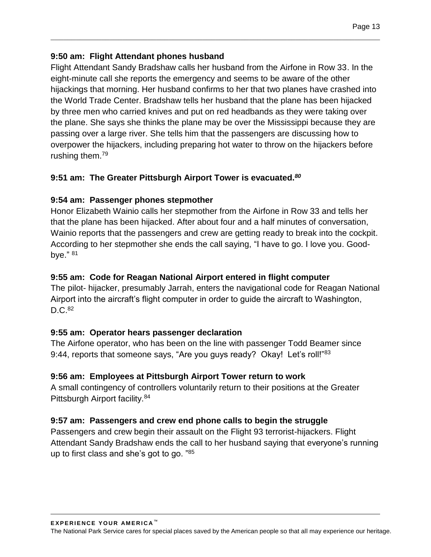#### **9:50 am: Flight Attendant phones husband**

Flight Attendant Sandy Bradshaw calls her husband from the Airfone in Row 33. In the eight-minute call she reports the emergency and seems to be aware of the other hijackings that morning. Her husband confirms to her that two planes have crashed into the World Trade Center. Bradshaw tells her husband that the plane has been hijacked by three men who carried knives and put on red headbands as they were taking over the plane. She says she thinks the plane may be over the Mississippi because they are passing over a large river. She tells him that the passengers are discussing how to overpower the hijackers, including preparing hot water to throw on the hijackers before rushing them.<sup>79</sup>

 $\mathcal{L}_\mathcal{L} = \{ \mathcal{L}_\mathcal{L} = \{ \mathcal{L}_\mathcal{L} = \{ \mathcal{L}_\mathcal{L} = \{ \mathcal{L}_\mathcal{L} = \{ \mathcal{L}_\mathcal{L} = \{ \mathcal{L}_\mathcal{L} = \{ \mathcal{L}_\mathcal{L} = \{ \mathcal{L}_\mathcal{L} = \{ \mathcal{L}_\mathcal{L} = \{ \mathcal{L}_\mathcal{L} = \{ \mathcal{L}_\mathcal{L} = \{ \mathcal{L}_\mathcal{L} = \{ \mathcal{L}_\mathcal{L} = \{ \mathcal{L}_\mathcal{$ 

#### **9:51 am: The Greater Pittsburgh Airport Tower is evacuated.***<sup>80</sup>*

#### **9:54 am: Passenger phones stepmother**

Honor Elizabeth Wainio calls her stepmother from the Airfone in Row 33 and tells her that the plane has been hijacked. After about four and a half minutes of conversation, Wainio reports that the passengers and crew are getting ready to break into the cockpit. According to her stepmother she ends the call saying, "I have to go. I love you. Goodbye." <sup>81</sup>

#### **9:55 am: Code for Reagan National Airport entered in flight computer**

The pilot- hijacker, presumably Jarrah, enters the navigational code for Reagan National Airport into the aircraft's flight computer in order to guide the aircraft to Washington,  $D.C.<sup>82</sup>$ 

#### **9:55 am: Operator hears passenger declaration**

The Airfone operator, who has been on the line with passenger Todd Beamer since 9:44, reports that someone says, "Are you guys ready? Okay! Let's roll!"<sup>83</sup>

#### **9:56 am: Employees at Pittsburgh Airport Tower return to work**

A small contingency of controllers voluntarily return to their positions at the Greater Pittsburgh Airport facility.<sup>84</sup>

#### **9:57 am: Passengers and crew end phone calls to begin the struggle**

Passengers and crew begin their assault on the Flight 93 terrorist-hijackers. Flight Attendant Sandy Bradshaw ends the call to her husband saying that everyone's running up to first class and she's got to go. "85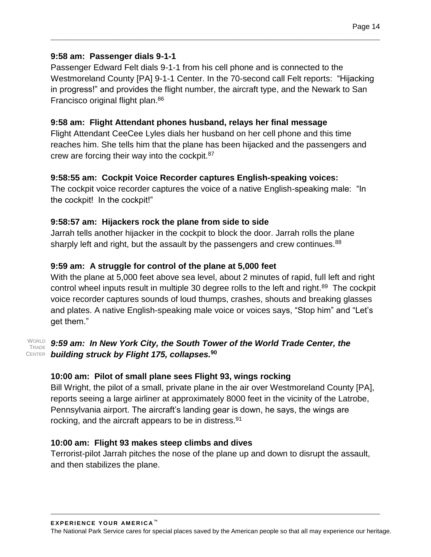#### **9:58 am: Passenger dials 9-1-1**

Passenger Edward Felt dials 9-1-1 from his cell phone and is connected to the Westmoreland County [PA] 9-1-1 Center. In the 70-second call Felt reports: "Hijacking in progress!" and provides the flight number, the aircraft type, and the Newark to San Francisco original flight plan. 86

 $\mathcal{L}_\mathcal{L} = \{ \mathcal{L}_\mathcal{L} = \{ \mathcal{L}_\mathcal{L} = \{ \mathcal{L}_\mathcal{L} = \{ \mathcal{L}_\mathcal{L} = \{ \mathcal{L}_\mathcal{L} = \{ \mathcal{L}_\mathcal{L} = \{ \mathcal{L}_\mathcal{L} = \{ \mathcal{L}_\mathcal{L} = \{ \mathcal{L}_\mathcal{L} = \{ \mathcal{L}_\mathcal{L} = \{ \mathcal{L}_\mathcal{L} = \{ \mathcal{L}_\mathcal{L} = \{ \mathcal{L}_\mathcal{L} = \{ \mathcal{L}_\mathcal{$ 

#### **9:58 am: Flight Attendant phones husband, relays her final message**

Flight Attendant CeeCee Lyles dials her husband on her cell phone and this time reaches him. She tells him that the plane has been hijacked and the passengers and crew are forcing their way into the cockpit.<sup>87</sup>

#### **9:58:55 am: Cockpit Voice Recorder captures English-speaking voices:**

The cockpit voice recorder captures the voice of a native English-speaking male: "In the cockpit! In the cockpit!"

#### **9:58:57 am: Hijackers rock the plane from side to side**

Jarrah tells another hijacker in the cockpit to block the door. Jarrah rolls the plane sharply left and right, but the assault by the passengers and crew continues.<sup>88</sup>

#### **9:59 am: A struggle for control of the plane at 5,000 feet**

With the plane at 5,000 feet above sea level, about 2 minutes of rapid, full left and right control wheel inputs result in multiple 30 degree rolls to the left and right.<sup>89</sup> The cockpit voice recorder captures sounds of loud thumps, crashes, shouts and breaking glasses and plates. A native English-speaking male voice or voices says, "Stop him" and "Let's get them."

#### *9:59 am: In New York City, the South Tower of the World Trade Center, the building struck by Flight 175, collapses.***<sup>90</sup>** CENTERWORLD TRADE

#### **10:00 am: Pilot of small plane sees Flight 93, wings rocking**

Bill Wright, the pilot of a small, private plane in the air over Westmoreland County [PA], reports seeing a large airliner at approximately 8000 feet in the vicinity of the Latrobe, Pennsylvania airport. The aircraft's landing gear is down, he says, the wings are rocking, and the aircraft appears to be in distress.<sup>91</sup>

#### **10:00 am: Flight 93 makes steep climbs and dives**

Terrorist-pilot Jarrah pitches the nose of the plane up and down to disrupt the assault, and then stabilizes the plane.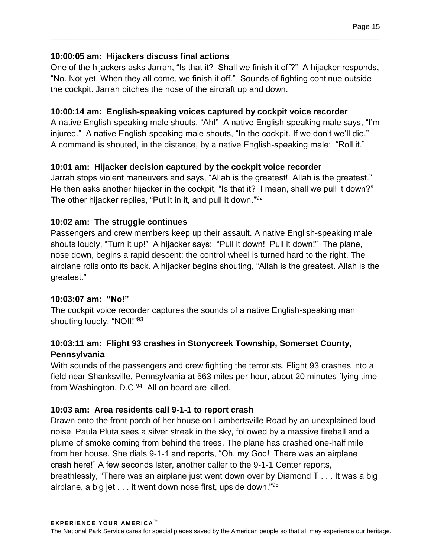#### **10:00:05 am: Hijackers discuss final actions**

One of the hijackers asks Jarrah, "Is that it? Shall we finish it off?" A hijacker responds, "No. Not yet. When they all come, we finish it off." Sounds of fighting continue outside the cockpit. Jarrah pitches the nose of the aircraft up and down.

 $\mathcal{L}_\mathcal{L} = \{ \mathcal{L}_\mathcal{L} = \{ \mathcal{L}_\mathcal{L} = \{ \mathcal{L}_\mathcal{L} = \{ \mathcal{L}_\mathcal{L} = \{ \mathcal{L}_\mathcal{L} = \{ \mathcal{L}_\mathcal{L} = \{ \mathcal{L}_\mathcal{L} = \{ \mathcal{L}_\mathcal{L} = \{ \mathcal{L}_\mathcal{L} = \{ \mathcal{L}_\mathcal{L} = \{ \mathcal{L}_\mathcal{L} = \{ \mathcal{L}_\mathcal{L} = \{ \mathcal{L}_\mathcal{L} = \{ \mathcal{L}_\mathcal{$ 

#### **10:00:14 am: English-speaking voices captured by cockpit voice recorder**

A native English-speaking male shouts, "Ah!" A native English-speaking male says, "I'm injured." A native English-speaking male shouts, "In the cockpit. If we don't we'll die." A command is shouted, in the distance, by a native English-speaking male: "Roll it."

#### **10:01 am: Hijacker decision captured by the cockpit voice recorder**

Jarrah stops violent maneuvers and says, "Allah is the greatest! Allah is the greatest." He then asks another hijacker in the cockpit, "Is that it? I mean, shall we pull it down?" The other hijacker replies, "Put it in it, and pull it down."<sup>92</sup>

#### **10:02 am: The struggle continues**

Passengers and crew members keep up their assault. A native English-speaking male shouts loudly, "Turn it up!" A hijacker says: "Pull it down! Pull it down!" The plane, nose down, begins a rapid descent; the control wheel is turned hard to the right. The airplane rolls onto its back. A hijacker begins shouting, "Allah is the greatest. Allah is the greatest."

#### **10:03:07 am: "No!"**

The cockpit voice recorder captures the sounds of a native English-speaking man shouting loudly, "NO!!!"<sup>93</sup>

#### **10:03:11 am: Flight 93 crashes in Stonycreek Township, Somerset County, Pennsylvania**

With sounds of the passengers and crew fighting the terrorists, Flight 93 crashes into a field near Shanksville, Pennsylvania at 563 miles per hour, about 20 minutes flying time from Washington, D.C.<sup>94</sup> All on board are killed.

#### **10:03 am: Area residents call 9-1-1 to report crash**

Drawn onto the front porch of her house on Lambertsville Road by an unexplained loud noise, Paula Pluta sees a silver streak in the sky, followed by a massive fireball and a plume of smoke coming from behind the trees. The plane has crashed one-half mile from her house. She dials 9-1-1 and reports, "Oh, my God! There was an airplane crash here!" A few seconds later, another caller to the 9-1-1 Center reports, breathlessly, "There was an airplane just went down over by Diamond T . . . It was a big airplane, a big jet . . . it went down nose first, upside down."95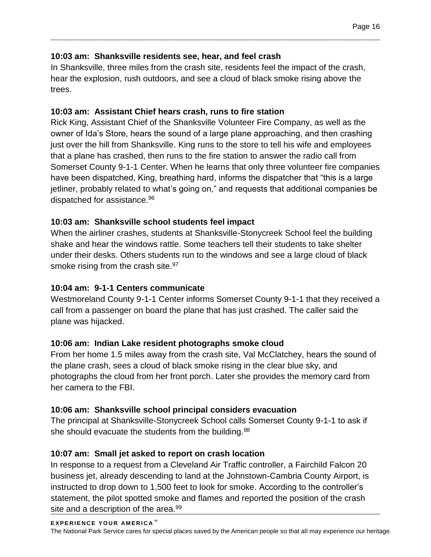#### **10:03 am: Shanksville residents see, hear, and feel crash**

In Shanksville, three miles from the crash site, residents feel the impact of the crash, hear the explosion, rush outdoors, and see a cloud of black smoke rising above the trees.

 $\mathcal{L}_\mathcal{L} = \{ \mathcal{L}_\mathcal{L} = \{ \mathcal{L}_\mathcal{L} = \{ \mathcal{L}_\mathcal{L} = \{ \mathcal{L}_\mathcal{L} = \{ \mathcal{L}_\mathcal{L} = \{ \mathcal{L}_\mathcal{L} = \{ \mathcal{L}_\mathcal{L} = \{ \mathcal{L}_\mathcal{L} = \{ \mathcal{L}_\mathcal{L} = \{ \mathcal{L}_\mathcal{L} = \{ \mathcal{L}_\mathcal{L} = \{ \mathcal{L}_\mathcal{L} = \{ \mathcal{L}_\mathcal{L} = \{ \mathcal{L}_\mathcal{$ 

#### **10:03 am: Assistant Chief hears crash, runs to fire station**

Rick King, Assistant Chief of the Shanksville Volunteer Fire Company, as well as the owner of Ida's Store, hears the sound of a large plane approaching, and then crashing just over the hill from Shanksville. King runs to the store to tell his wife and employees that a plane has crashed, then runs to the fire station to answer the radio call from Somerset County 9-1-1 Center. When he learns that only three volunteer fire companies have been dispatched, King, breathing hard, informs the dispatcher that "this is a large jetliner, probably related to what's going on," and requests that additional companies be dispatched for assistance.<sup>96</sup>

#### **10:03 am: Shanksville school students feel impact**

When the airliner crashes, students at Shanksville-Stonycreek School feel the building shake and hear the windows rattle. Some teachers tell their students to take shelter under their desks. Others students run to the windows and see a large cloud of black smoke rising from the crash site.<sup>97</sup>

#### **10:04 am: 9-1-1 Centers communicate**

Westmoreland County 9-1-1 Center informs Somerset County 9-1-1 that they received a call from a passenger on board the plane that has just crashed. The caller said the plane was hijacked.

#### **10:06 am: Indian Lake resident photographs smoke cloud**

From her home 1.5 miles away from the crash site, Val McClatchey, hears the sound of the plane crash, sees a cloud of black smoke rising in the clear blue sky, and photographs the cloud from her front porch. Later she provides the memory card from her camera to the FBI.

#### **10:06 am: Shanksville school principal considers evacuation**

The principal at Shanksville-Stonycreek School calls Somerset County 9-1-1 to ask if she should evacuate the students from the building.<sup>98</sup>

#### **10:07 am: Small jet asked to report on crash location**

In response to a request from a Cleveland Air Traffic controller, a Fairchild Falcon 20 business jet, already descending to land at the Johnstown-Cambria County Airport, is instructed to drop down to 1,500 feet to look for smoke. According to the controller's statement, the pilot spotted smoke and flames and reported the position of the crash site and a description of the area.<sup>99</sup>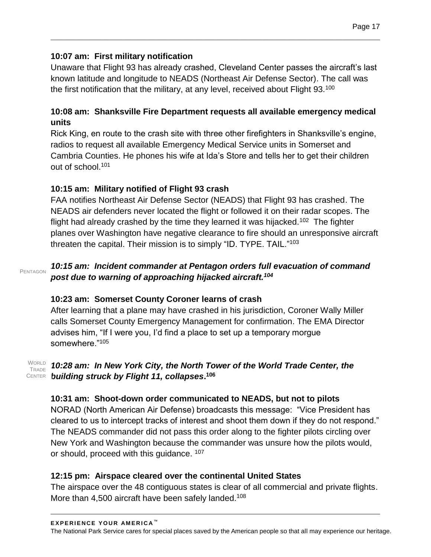#### **10:07 am: First military notification**

Unaware that Flight 93 has already crashed, Cleveland Center passes the aircraft's last known latitude and longitude to NEADS (Northeast Air Defense Sector). The call was the first notification that the military, at any level, received about Flight 93. $100$ 

 $\mathcal{L}_\mathcal{L} = \{ \mathcal{L}_\mathcal{L} = \{ \mathcal{L}_\mathcal{L} = \{ \mathcal{L}_\mathcal{L} = \{ \mathcal{L}_\mathcal{L} = \{ \mathcal{L}_\mathcal{L} = \{ \mathcal{L}_\mathcal{L} = \{ \mathcal{L}_\mathcal{L} = \{ \mathcal{L}_\mathcal{L} = \{ \mathcal{L}_\mathcal{L} = \{ \mathcal{L}_\mathcal{L} = \{ \mathcal{L}_\mathcal{L} = \{ \mathcal{L}_\mathcal{L} = \{ \mathcal{L}_\mathcal{L} = \{ \mathcal{L}_\mathcal{$ 

#### **10:08 am: Shanksville Fire Department requests all available emergency medical units**

Rick King, en route to the crash site with three other firefighters in Shanksville's engine, radios to request all available Emergency Medical Service units in Somerset and Cambria Counties. He phones his wife at Ida's Store and tells her to get their children out of school.<sup>101</sup>

## **10:15 am: Military notified of Flight 93 crash**

FAA notifies Northeast Air Defense Sector (NEADS) that Flight 93 has crashed. The NEADS air defenders never located the flight or followed it on their radar scopes. The flight had already crashed by the time they learned it was hijacked.<sup>102</sup> The fighter planes over Washington have negative clearance to fire should an unresponsive aircraft threaten the capital. Their mission is to simply "ID. TYPE. TAIL."<sup>103</sup>

#### *10:15 am: Incident commander at Pentagon orders full evacuation of command post due to warning of approaching hijacked aircraft.<sup>104</sup>* PENTAGON

#### **10:23 am: Somerset County Coroner learns of crash**

After learning that a plane may have crashed in his jurisdiction, Coroner Wally Miller calls Somerset County Emergency Management for confirmation. The EMA Director advises him, "If I were you, I'd find a place to set up a temporary morgue somewhere."<sup>105</sup>

#### **TRADE CENTER**

#### WORLD **10:28 am: In New York City, the North Tower of the World Trade Center, the** *building struck by Flight 11, collapses***. 106**

#### **10:31 am: Shoot-down order communicated to NEADS, but not to pilots**

NORAD (North American Air Defense) broadcasts this message: "Vice President has cleared to us to intercept tracks of interest and shoot them down if they do not respond." The NEADS commander did not pass this order along to the fighter pilots circling over New York and Washington because the commander was unsure how the pilots would, or should, proceed with this guidance. <sup>107</sup>

#### **12:15 pm: Airspace cleared over the continental United States**

The airspace over the 48 contiguous states is clear of all commercial and private flights. More than 4,500 aircraft have been safely landed.<sup>108</sup>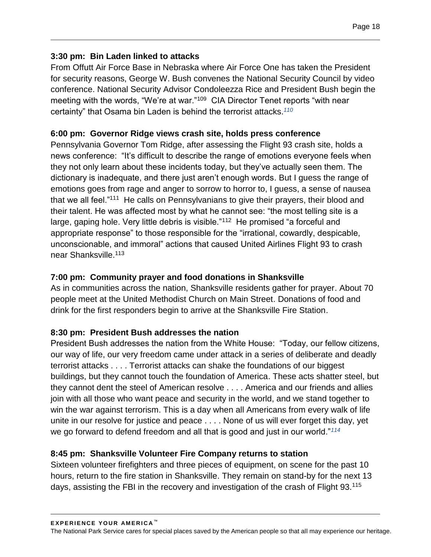#### **3:30 pm: Bin Laden linked to attacks**

From Offutt Air Force Base in Nebraska where Air Force One has taken the President for security reasons, George W. Bush convenes the National Security Council by video conference. National Security Advisor Condoleezza Rice and President Bush begin the meeting with the words, "We're at war."<sup>109</sup> CIA Director Tenet reports "with near certainty" that Osama bin Laden is behind the terrorist attacks.*<sup>110</sup>*

 $\mathcal{L}_\mathcal{L} = \{ \mathcal{L}_\mathcal{L} = \{ \mathcal{L}_\mathcal{L} = \{ \mathcal{L}_\mathcal{L} = \{ \mathcal{L}_\mathcal{L} = \{ \mathcal{L}_\mathcal{L} = \{ \mathcal{L}_\mathcal{L} = \{ \mathcal{L}_\mathcal{L} = \{ \mathcal{L}_\mathcal{L} = \{ \mathcal{L}_\mathcal{L} = \{ \mathcal{L}_\mathcal{L} = \{ \mathcal{L}_\mathcal{L} = \{ \mathcal{L}_\mathcal{L} = \{ \mathcal{L}_\mathcal{L} = \{ \mathcal{L}_\mathcal{$ 

#### **6:00 pm: Governor Ridge views crash site, holds press conference**

Pennsylvania Governor Tom Ridge, after assessing the Flight 93 crash site, holds a news conference: "It's difficult to describe the range of emotions everyone feels when they not only learn about these incidents today, but they've actually seen them. The dictionary is inadequate, and there just aren't enough words. But I guess the range of emotions goes from rage and anger to sorrow to horror to, I guess, a sense of nausea that we all feel."<sup>111</sup> He calls on Pennsylvanians to give their prayers, their blood and their talent. He was affected most by what he cannot see: "the most telling site is a large, gaping hole. Very little debris is visible."<sup>112</sup> He promised "a forceful and appropriate response" to those responsible for the "irrational, cowardly, despicable, unconscionable, and immoral" actions that caused United Airlines Flight 93 to crash near Shanksville.<sup>113</sup>

#### **7:00 pm: Community prayer and food donations in Shanksville**

As in communities across the nation, Shanksville residents gather for prayer. About 70 people meet at the United Methodist Church on Main Street. Donations of food and drink for the first responders begin to arrive at the Shanksville Fire Station.

#### **8:30 pm: President Bush addresses the nation**

President Bush addresses the nation from the White House: "Today, our fellow citizens, our way of life, our very freedom came under attack in a series of deliberate and deadly terrorist attacks . . . . Terrorist attacks can shake the foundations of our biggest buildings, but they cannot touch the foundation of America. These acts shatter steel, but they cannot dent the steel of American resolve . . . . America and our friends and allies join with all those who want peace and security in the world, and we stand together to win the war against terrorism. This is a day when all Americans from every walk of life unite in our resolve for justice and peace . . . . None of us will ever forget this day, yet we go forward to defend freedom and all that is good and just in our world."*<sup>114</sup>*

#### **8:45 pm: Shanksville Volunteer Fire Company returns to station**

Sixteen volunteer firefighters and three pieces of equipment, on scene for the past 10 hours, return to the fire station in Shanksville. They remain on stand-by for the next 13 days, assisting the FBI in the recovery and investigation of the crash of Flight 93.<sup>115</sup>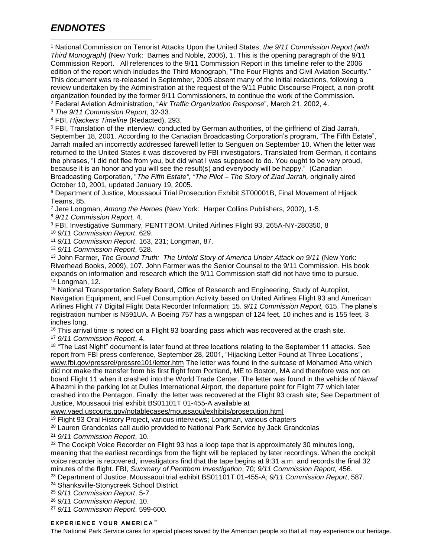# *ENDNOTES*

<sup>1</sup> National Commission on Terrorist Attacks Upon the United States, *the 9/11 Commission Report (with Third Monograph)* (New York: Barnes and Noble, 2006), 1. This is the opening paragraph of the 9/11 Commission Report. All references to the 9/11 Commission Report in this timeline refer to the 2006 edition of the report which includes the Third Monograph, "The Four Flights and Civil Aviation Security." This document was re-released in September, 2005 absent many of the initial redactions, following a review undertaken by the Administration at the request of the 9/11 Public Discourse Project, a non-profit organization founded by the former 9/11 Commissioners, to continue the work of the Commission.  $\overline{a}$ 

<sup>2</sup> Federal Aviation Administration, "*Air Traffic Organization Response*", March 21, 2002, 4.

<sup>3</sup> *The 9/11 Commission Report*, 32-33.

<sup>4</sup> FBI, *Hijackers Timeline* (Redacted), 293.

<sup>5</sup> FBI, Translation of the interview, conducted by German authorities, of the girlfriend of Ziad Jarrah, September 18, 2001. According to the Canadian Broadcasting Corporation's program, "The Fifth Estate", Jarrah mailed an incorrectly addressed farewell letter to Senguen on September 10. When the letter was returned to the United States it was discovered by FBI investigators. Translated from German, it contains the phrases, "I did not flee from you, but did what I was supposed to do. You ought to be very proud, because it is an honor and you will see the result(s) and everybody will be happy." (Canadian Broadcasting Corporation, "*The Fifth Estate", "The Pilot – The Story of Ziad Jarrah,* originally aired October 10, 2001, updated January 19, 2005.

<sup>6</sup> Department of Justice, Moussaoui Trial Prosecution Exhibit ST00001B, Final Movement of Hijack Teams, 85.

<sup>7</sup> Jere Longman, *Among the Heroes* (New York: Harper Collins Publishers, 2002), 1-5.

<sup>8</sup> *9/11 Commission Report,* 4.

<sup>9</sup> FBI, Investigative Summary, PENTTBOM, United Airlines Flight 93, 265A-NY-280350, 8

<sup>10</sup> *9/11 Commission Report*, 629.

<sup>11</sup> *9/11 Commission Report*, 163, 231; Longman, 87.

<sup>12</sup> *9/11 Commission Report*, 528.

<sup>13</sup> John Farmer, *The Ground Truth: The Untold Story of America Under Attack on 9/11* (New York: Riverhead Books, 2009), 107. John Farmer was the Senior Counsel to the 9/11 Commission. His book expands on information and research which the 9/11 Commission staff did not have time to pursue. <sup>14</sup> Longman, 12.

<sup>15</sup> National Transportation Safety Board, Office of Research and Engineering, Study of Autopilot, Navigation Equipment, and Fuel Consumption Activity based on United Airlines Flight 93 and American Airlines Flight 77 Digital Flight Data Recorder Information; 15. *9/11 Commission Report,* 615. The plane's registration number is N591UA. A Boeing 757 has a wingspan of 124 feet, 10 inches and is 155 feet, 3 inches long.

<sup>16</sup> This arrival time is noted on a Flight 93 boarding pass which was recovered at the crash site.

<sup>17</sup> *9/11 Commission Report*, 4.

<sup>18</sup> "The Last Night" document is later found at three locations relating to the September 11 attacks. See report from FBI press conference, September 28, 2001, "Hijacking Letter Found at Three Locations", [www.fbi.gov/pressrel/pressre101/letter.htm](http://www.fbi.gov/pressrel/pressre101/letter.htm) The letter was found in the suitcase of Mohamed Atta which did not make the transfer from his first flight from Portland, ME to Boston, MA and therefore was not on board Flight 11 when it crashed into the World Trade Center. The letter was found in the vehicle of Nawaf Alhazmi in the parking lot at Dulles International Airport, the departure point for Flight 77 which later crashed into the Pentagon. Finally, the letter was recovered at the Flight 93 crash site; See Department of Justice, Moussaoui trial exhibit BS01101T 01-455-A available at

[www.vaed.uscourts.gov/notablecases/moussaoui/exhibits/prosecution.html](http://www.vaed.uscourts.gov/notablecases/moussaoui/exhibits/prosecurtion.html)

<sup>19</sup> Flight 93 Oral History Project, various interviews; Longman, various chapters

<sup>20</sup> Lauren Grandcolas call audio provided to National Park Service by Jack Grandcolas

<sup>21</sup> *9/11 Commission Report*, 10.

 $22$  The Cockpit Voice Recorder on Flight 93 has a loop tape that is approximately 30 minutes long, meaning that the earliest recordings from the flight will be replaced by later recordings. When the cockpit voice recorder is recovered, investigators find that the tape begins at 9:31 a.m. and records the final 32 minutes of the flight. FBI, *Summary of Penttbom Investigation*, 70; *9/11 Commission Report,* 456.

<sup>23</sup> Department of Justice, Moussaoui trial exhibit BS01101T 01-455-A; *9/11 Commission Report*, 587.

<sup>24</sup> Shanksville-Stonycreek School District

<sup>25</sup> *9/11 Commission Report*, 5-7.

<sup>26</sup> *9/11 Commission Report*, 10.

<sup>27</sup> *9/11 Commission Report*, 599-600.

#### **EXPERIENCE YOUR AMERICA™**

The National Park Service cares for special places saved by the American people so that all may experience our heritage.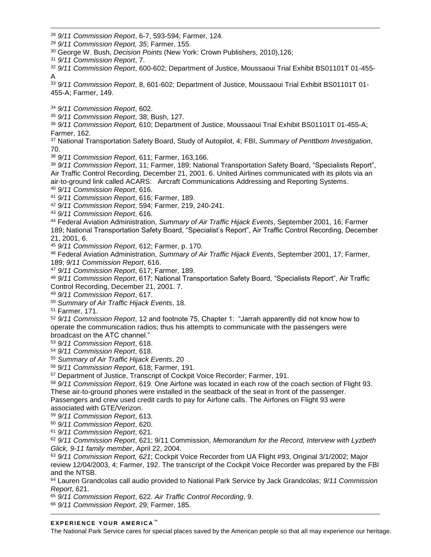- *9/11 Commission Report*, 6-7, 593-594; Farmer, 124.
- *9/11 Commission Report, 35*; Farmer, 155.
- George W. Bush, *Decision Points* (New York: Crown Publishers, 2010),126;
- *9/11 Commission Report*, 7.

 $\overline{a}$ 

 *9/11 Commission Report*, 600-602; Department of Justice, Moussaoui Trial Exhibit BS01101T 01-455- A

 *9/11 Commission Report*, 8, 601-602; Department of Justice, Moussaoui Trial Exhibit BS01101T 01- 455-A; Farmer, 149.

*9/11 Commission Report*, 602.

*9/11 Commission Report*, 38; Bush, 127.

 *9/11 Commission Report,* 610; Department of Justice, Moussaoui Trial Exhibit BS01101T 01-455-A; Farmer, 162.

 National Transportation Safety Board, Study of Autopilot, 4; FBI, *Summary of Penttbom Investigation*, 70.

*9/11 Commission Report*, 611; Farmer, 163,166.

 *9/11 Commission Report*, 11; Farmer, 189; National Transportation Safety Board, "Specialists Report", Air Traffic Control Recording, December 21, 2001. 6. United Airlines communicated with its pilots via an air-to-ground link called ACARS: Aircraft Communications Addressing and Reporting Systems.

*9/11 Commission Report*, 616.

*9/11 Commission Report*, 616; Farmer, 189.

*9/11 Commission Report*, 594; Farmer, 219, 240-241.

*9/11 Commission Report*, 616.

 Federal Aviation Administration, *Summary of Air Traffic Hijack Events*, September 2001, 16; Farmer 189; National Transportation Safety Board, "Specialist's Report", Air Traffic Control Recording, December 21, 2001, 6.

*9/11 Commission Report*, 612; Farmer, p. 170.

 Federal Aviation Administration, *Summary of Air Traffic Hijack Events*, September 2001, 17; Farmer, 189; *9/11 Commission Report*, 616.

*9/11 Commission Report*, 617; Farmer, 189.

 *9/11 Commission Report*, 617; National Transportation Safety Board, "Specialists Report", Air Traffic Control Recording, December 21, 2001. 7.

*9/11 Commission Report*, 617.

*Summary of Air Traffic Hijack Events*, 18.

Farmer, 171.

 *9/11 Commission Report*, 12 and footnote 75, Chapter 1: "Jarrah apparently did not know how to operate the communication radios; thus his attempts to communicate with the passengers were broadcast on the ATC channel."

*9/11 Commission Report*, 618.

*9/11 Commission Report*, 618.

*Summary of Air Traffic Hijack Events*, 20

*9/11 Commission Report*, 618; Farmer, 191.

Department of Justice, Transcript of Cockpit Voice Recorder; Farmer, 191.

*9/11 Commission Report*, 619. One Airfone was located in each row of the coach section of Flight 93.

These air-to-ground phones were installed in the seatback of the seat in front of the passenger. Passengers and crew used credit cards to pay for Airfone calls. The Airfones on Flight 93 were associated with GTE/Verizon.

*9/11 Commission Report*, 613.

*9/11 Commission Report*, 620.

*9/11 Commission Report*, 621.

 *9/11 Commission Report*, 621; 9/11 Commission, *Memorandum for the Record, Interview with Lyzbeth Glick, 9-11 family member*, April 22, 2004.

 *9/11 Commission Report, 621*; Cockpit Voice Recorder from UA Flight #93, Original 3/1/2002; Major review 12/04/2003, 4; Farmer, 192. The transcript of the Cockpit Voice Recorder was prepared by the FBI and the NTSB.

 Lauren Grandcolas call audio provided to National Park Service by Jack Grandcolas; *9/11 Commission Report*, 621.

*9/11 Commission Report*, 622. *Air Traffic Control Recording*, 9.

*9/11 Commission Report*, 29; Farmer, 185.

#### **EXPERIENCE YOUR AMERICA™**

The National Park Service cares for special places saved by the American people so that all may experience our heritage.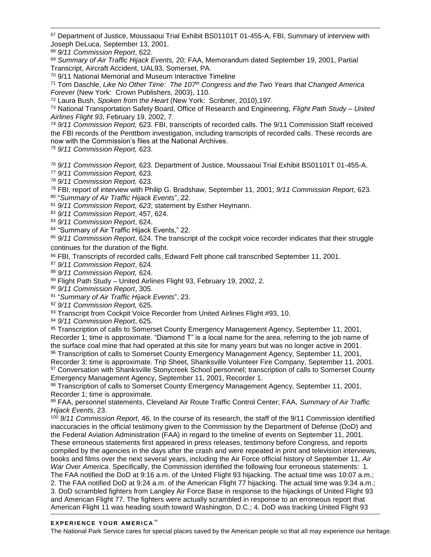67 Department of Justice, Moussaoui Trial Exhibit BS01101T 01-455-A, FBI, Summary of interview with Joseph DeLuca, September 13, 2001.

<sup>68</sup> *9/11 Commission Report*, 622.

 $\overline{a}$ 

<sup>69</sup> *Summary of Air Traffic Hijack Events,* 20; FAA, Memorandum dated September 19, 2001, Partial Transcript, Aircraft Accident, UAL93, Somerset, PA.

<sup>70</sup> 9/11 National Memorial and Museum Interactive Timeline

<sup>71</sup> Tom Daschle, *Like No Other Time: The 107th Congress and the Two Years that Changed America Forever* (New York: Crown Publishers, 2003), 110.

<sup>72</sup> Laura Bush, *Spoken from the Heart* (New York: Scribner, 2010),197.

<sup>73</sup> National Transportation Safety Board, Office of Research and Engineering, *Flight Path Study – United Airlines Flight 93*, February 19, 2002, 7.

*<sup>74</sup> 9/11 Commission Report,* 623*.* FBI, transcripts of recorded calls. The 9/11 Commission Staff received the FBI records of the Penttbom investigation, including transcripts of recorded calls. These records are now with the Commission's files at the National Archives.

*<sup>75</sup> 9/11 Commission Report,* 623.

*<sup>76</sup> 9/11 Commission Report,* 623*.* Department of Justice, Moussaoui Trial Exhibit BS01101T 01-455-A.

*<sup>77</sup> 9/11 Commission Report,* 623*.*

*<sup>78</sup> 9/11 Commission Report,* 623*.*

*<sup>79</sup>* FBI, report of interview with Philip G. Bradshaw, September 11, 2001; *9/11 Commission Report,* 623*.*

80 "*Summary of Air Traffic Hijack Events*", 22.

<sup>81</sup> *9/11 Commission Report, 623*; statement by Esther Heymann.

<sup>82</sup> *9/11 Commission Report*, 457, 624.

<sup>83</sup> *9/11 Commission Report*, 624.

84 "Summary of Air Traffic Hijack Events," 22.

<sup>85</sup> *9/11 Commission Report*, 624. The transcript of the cockpit voice recorder indicates that their struggle continues for the duration of the flight.

<sup>86</sup> FBI, Transcripts of recorded calls, Edward Felt phone call transcribed September 11, 2001.

<sup>87</sup> *9/11 Commission Report*, 624.

<sup>88</sup> *9/11 Commission Report,* 624.

89 Flight Path Study – United Airlines Flight 93, February 19, 2002, 2.

<sup>90</sup> *9/11 Commission Report*, 305.

91 "*Summary of Air Traffic Hijack Events*", 23.

<sup>92</sup> *9/11 Commission Report,* 625.

93 Transcript from Cockpit Voice Recorder from United Airlines Flight #93, 10.

<sup>94</sup> *9/11 Commission Report*, 625.

95 Transcription of calls to Somerset County Emergency Management Agency, September 11, 2001, Recorder 1; time is approximate. "Diamond T" is a local name for the area, referring to the job name of the surface coal mine that had operated at this site for many years but was no longer active in 2001.

96 Transcription of calls to Somerset County Emergency Management Agency, September 11, 2001, Recorder 3; time is approximate. Trip Sheet, Shanksville Volunteer Fire Company, September 11, 2001. 97 Conversation with Shanksville Stonycreek School personnel; transcription of calls to Somerset County Emergency Management Agency, September 11, 2001, Recorder 1.

98 Transcription of calls to Somerset County Emergency Management Agency, September 11, 2001, Recorder 1; time is approximate.

<sup>99</sup> FAA, personnel statements, Cleveland Air Route Traffic Control Center; FAA, *Summary of Air Traffic Hijack Events*, 23.

<sup>100</sup> *9/11 Commission Report*, 46. In the course of its research, the staff of the 9/11 Commission identified inaccuracies in the official testimony given to the Commission by the Department of Defense (DoD) and the Federal Aviation Administration (FAA) in regard to the timeline of events on September 11, 2001. These erroneous statements first appeared in press releases, testimony before Congress, and reports compiled by the agencies in the days after the crash and were repeated in print and television interviews, books and films over the next several years, including the Air Force official history of September 11, *Air War Over America*. Specifically, the Commission identified the following four erroneous statements: 1. The FAA notified the DoD at 9:16 a.m. of the United Flight 93 hijacking. The actual time was 10:07 a.m.; 2. The FAA notified DoD at 9:24 a.m. of the American Flight 77 hijacking. The actual time was 9:34 a.m.; 3. DoD scrambled fighters from Langley Air Force Base in response to the hijackings of United Flight 93 and American Flight 77. The fighters were actually scrambled in response to an erroneous report that American Flight 11 was heading south toward Washington, D.C.; 4. DoD was tracking United Flight 93

#### **EXPERIENCE YOUR AMERICA™**

The National Park Service cares for special places saved by the American people so that all may experience our heritage.